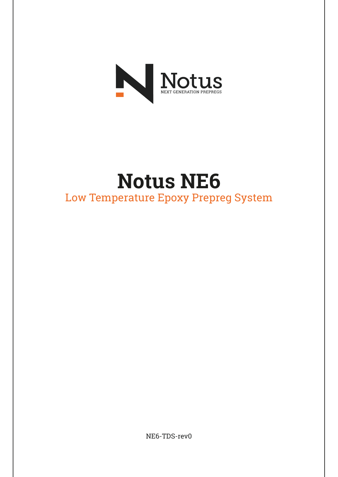

# **Notus NE6** Low Temperature Epoxy Prepreg System

NE6-TDS-rev0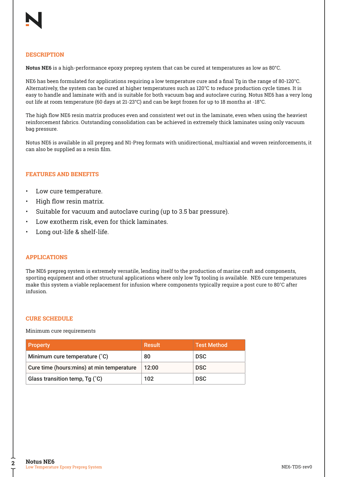## **DESCRIPTION**

**Notus NE6** is a high-performance epoxy prepreg system that can be cured at temperatures as low as 80°C.

NE6 has been formulated for applications requiring a low temperature cure and a final Tg in the range of 80-120°C. Alternatively, the system can be cured at higher temperatures such as 120°C to reduce production cycle times. It is easy to handle and laminate with and is suitable for both vacuum bag and autoclave curing. Notus NE6 has a very long out life at room temperature (60 days at 21-23°C) and can be kept frozen for up to 18 months at -18°C.

The high flow NE6 resin matrix produces even and consistent wet out in the laminate, even when using the heaviest reinforcement fabrics. Outstanding consolidation can be achieved in extremely thick laminates using only vacuum bag pressure.

Notus NE6 is available in all prepreg and N1-Preg formats with unidirectional, multiaxial and woven reinforcements, it can also be supplied as a resin film.

# **FEATURES AND BENEFITS**

- Low cure temperature.
- High flow resin matrix.
- Suitable for vacuum and autoclave curing (up to 3.5 bar pressure).
- Low exotherm risk, even for thick laminates.
- Long out-life & shelf-life.

## **APPLICATIONS**

The NE6 prepreg system is extremely versatile, lending itself to the production of marine craft and components, sporting equipment and other structural applications where only low Tg tooling is available. NE6 cure temperatures make this system a viable replacement for infusion where components typically require a post cure to 80˚C after infusion.

## **CURE SCHEDULE**

Minimum cure requirements

| <b>Property</b>                            | Result | Test Method |
|--------------------------------------------|--------|-------------|
| Minimum cure temperature (°C)              | 80     | <b>DSC</b>  |
| Cure time (hours: mins) at min temperature | 12:00  | <b>DSC</b>  |
| Glass transition temp, Tg (°C)             | 102    | <b>DSC</b>  |

**2**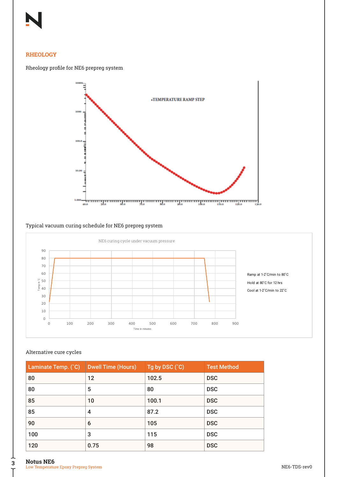# **RHEOLOGY**





# Typical vacuum curing schedule for NE6 prepreg system



## Alternative cure cycles

| Laminate Temp. (°C) | <b>Dwell Time (Hours)</b> | Tg by DSC (°C) | <b>Test Method</b> |
|---------------------|---------------------------|----------------|--------------------|
| 80                  | 12                        | 102.5          | <b>DSC</b>         |
| 80                  | 5                         | 80             | <b>DSC</b>         |
| 85                  | 10                        | 100.1          | <b>DSC</b>         |
| 85                  | 4                         | 87.2           | <b>DSC</b>         |
| 90                  | 6                         | 105            | <b>DSC</b>         |
| 100                 | 3                         | 115            | <b>DSC</b>         |
| 120                 | 0.75                      | 98             | <b>DSC</b>         |

T

Time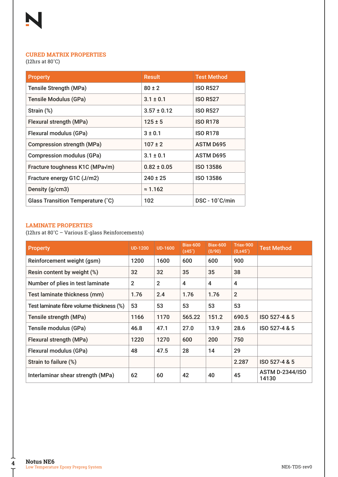

# **CURED MATRIX PROPERTIES**

(12hrs at 80˚C)

| <b>Property</b>                   | <b>Result</b>   | <b>Test Method</b>      |
|-----------------------------------|-----------------|-------------------------|
| <b>Tensile Strength (MPa)</b>     | $80 \pm 2$      | <b>ISO R527</b>         |
| <b>Tensile Modulus (GPa)</b>      | $3.1 \pm 0.1$   | <b>ISO R527</b>         |
| Strain (%)                        | $3.57 \pm 0.12$ | <b>ISO R527</b>         |
| Flexural strength (MPa)           | $125 \pm 5$     | <b>ISO R178</b>         |
| Flexural modulus (GPa)            | $3 \pm 0.1$     | <b>ISO R178</b>         |
| <b>Compression strength (MPa)</b> | $107 \pm 2$     | <b>ASTM D695</b>        |
| <b>Compression modulus (GPa)</b>  | $3.1 \pm 0.1$   | <b>ASTM D695</b>        |
| Fracture toughness K1C (MPa√m)    | $0.82 \pm 0.05$ | <b>ISO 13586</b>        |
| Fracture energy G1C (J/m2)        | $240 \pm 25$    | <b>ISO 13586</b>        |
| Density (g/cm3)                   | $\approx$ 1.162 |                         |
| Glass Transition Temperature (°C) | 102             | $DSC - 10^{\circ}C/min$ |

## **LAMINATE PROPERTIES**

(12hrs at 80˚C – Various E-glass Reinforcements)

| <b>Property</b>                          | <b>UD-1200</b> | <b>UD-1600</b> | <b>Biax-600</b><br>$(\pm 45^\circ)$ | <b>Biax-600</b><br>(0/90) | Triax-900<br>$(0, \pm 45^{\circ})$ | <b>Test Method</b>              |
|------------------------------------------|----------------|----------------|-------------------------------------|---------------------------|------------------------------------|---------------------------------|
| Reinforcement weight (gsm)               | 1200           | 1600           | 600                                 | 600                       | 900                                |                                 |
| Resin content by weight (%)              | 32             | 32             | 35                                  | 35                        | 38                                 |                                 |
| Number of plies in test laminate         | $\overline{2}$ | $\overline{2}$ | 4                                   | 4                         | $\overline{4}$                     |                                 |
| Test laminate thickness (mm)             | 1.76           | 2.4            | 1.76                                | 1.76                      | $\overline{2}$                     |                                 |
| Test laminate fibre volume thickness (%) | 53             | 53             | 53                                  | 53                        | 53                                 |                                 |
| Tensile strength (MPa)                   | 1166           | 1170           | 565.22                              | 151.2                     | 690.5                              | ISO 527-4 & 5                   |
| Tensile modulus (GPa)                    | 46.8           | 47.1           | 27.0                                | 13.9                      | 28.6                               | ISO 527-4 & 5                   |
| Flexural strength (MPa)                  | 1220           | 1270           | 600                                 | 200                       | 750                                |                                 |
| Flexural modulus (GPa)                   | 48             | 47.5           | 28                                  | 14                        | 29                                 |                                 |
| Strain to failure (%)                    |                |                |                                     |                           | 2.287                              | ISO 527-4 & 5                   |
| Interlaminar shear strength (MPa)        | 62             | 60             | 42                                  | 40                        | 45                                 | <b>ASTM D-2344/ISO</b><br>14130 |

**4**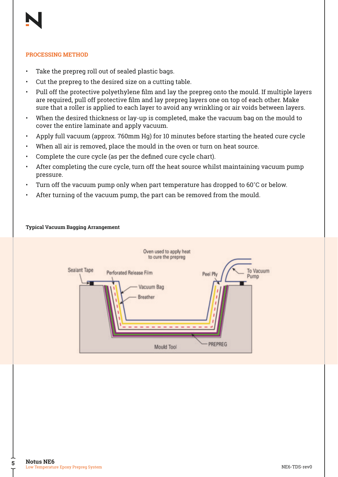

# **PROCESSING METHOD**

- Take the prepreg roll out of sealed plastic bags.
- Cut the prepreg to the desired size on a cutting table.
- Pull off the protective polyethylene film and lay the prepreg onto the mould. If multiple layers are required, pull off protective film and lay prepreg layers one on top of each other. Make sure that a roller is applied to each layer to avoid any wrinkling or air voids between layers.
- When the desired thickness or lay-up is completed, make the vacuum bag on the mould to cover the entire laminate and apply vacuum.
- Apply full vacuum (approx. 760mm Hg) for 10 minutes before starting the heated cure cycle
- When all air is removed, place the mould in the oven or turn on heat source.
- Complete the cure cycle (as per the defined cure cycle chart).
- After completing the cure cycle, turn off the heat source whilst maintaining vacuum pump pressure.
- Turn off the vacuum pump only when part temperature has dropped to 60°C or below.
- After turning of the vacuum pump, the part can be removed from the mould.

## **Typical Vacuum Bagging Arrangement**



**5**